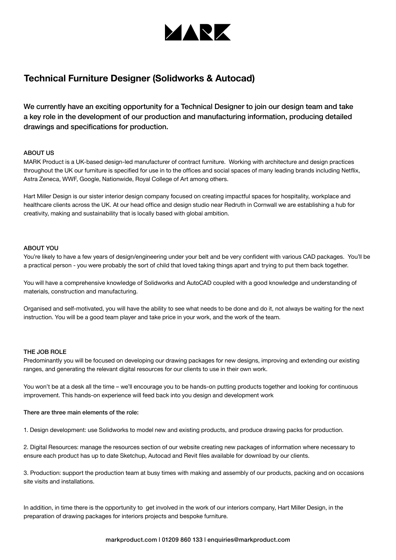

# **Technical Furniture Designer (Solidworks & Autocad)**

We currently have an exciting opportunity for a Technical Designer to join our design team and take a key role in the development of our production and manufacturing information, producing detailed drawings and specifications for production.

### ABOUT US

MARK Product is a UK-based design-led manufacturer of contract furniture. Working with architecture and design practices throughout the UK our furniture is specified for use in to the offices and social spaces of many leading brands including Netflix, Astra Zeneca, WWF, Google, Nationwide, Royal College of Art among others.

Hart Miller Design is our sister interior design company focused on creating impactful spaces for hospitality, workplace and healthcare clients across the UK. At our head office and design studio near Redruth in Cornwall we are establishing a hub for creativity, making and sustainability that is locally based with global ambition.

#### ABOUT YOU

You're likely to have a few years of design/engineering under your belt and be very confident with various CAD packages. You'll be a practical person - you were probably the sort of child that loved taking things apart and trying to put them back together.

You will have a comprehensive knowledge of Solidworks and AutoCAD coupled with a good knowledge and understanding of materials, construction and manufacturing.

Organised and self-motivated, you will have the ability to see what needs to be done and do it, not always be waiting for the next instruction. You will be a good team player and take price in your work, and the work of the team.

#### THE JOB ROLE

Predominantly you will be focused on developing our drawing packages for new designs, improving and extending our existing ranges, and generating the relevant digital resources for our clients to use in their own work.

You won't be at a desk all the time – we'll encourage you to be hands-on putting products together and looking for continuous improvement. This hands-on experience will feed back into you design and development work

#### There are three main elements of the role:

1. Design development: use Solidworks to model new and existing products, and produce drawing packs for production.

2. Digital Resources: manage the resources section of our website creating new packages of information where necessary to ensure each product has up to date Sketchup, Autocad and Revit files available for download by our clients.

3. Production: support the production team at busy times with making and assembly of our products, packing and on occasions site visits and installations.

In addition, in time there is the opportunity to get involved in the work of our interiors company. Hart Miller Design, in the preparation of drawing packages for interiors projects and bespoke furniture.

#### markproduct.com | 01209 860 133 | enquiries@markproduct.com